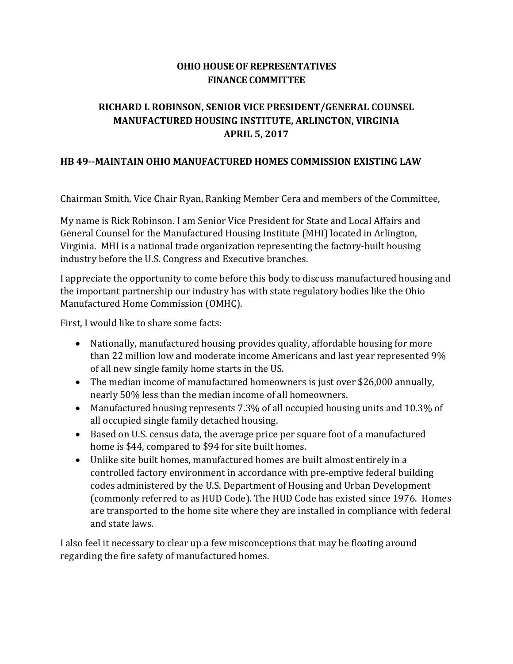## **OHIO HOUSE OF REPRESENTATIVES FINANCE COMMITTEE**

## **RICHARD L ROBINSON, SENIOR VICE PRESIDENT/GENERAL COUNSEL MANUFACTURED HOUSING INSTITUTE, ARLINGTON, VIRGINIA APRIL 5, 2017**

## **HB 49--MAINTAIN OHIO MANUFACTURED HOMES COMMISSION EXISTING LAW**

Chairman Smith, Vice Chair Ryan, Ranking Member Cera and members of the Committee,

My name is Rick Robinson. I am Senior Vice President for State and Local Affairs and General Counsel for the Manufactured Housing Institute (MHI) located in Arlington, Virginia. MHI is a national trade organization representing the factory-built housing industry before the U.S. Congress and Executive branches.

I appreciate the opportunity to come before this body to discuss manufactured housing and the important partnership our industry has with state regulatory bodies like the Ohio Manufactured Home Commission (OMHC).

First, I would like to share some facts:

- Nationally, manufactured housing provides quality, affordable housing for more than 22 million low and moderate income Americans and last year represented 9% of all new single family home starts in the US.
- The median income of manufactured homeowners is just over \$26,000 annually, nearly 50% less than the median income of all homeowners.
- Manufactured housing represents 7.3% of all occupied housing units and 10.3% of all occupied single family detached housing.
- Based on U.S. census data, the average price per square foot of a manufactured home is \$44, compared to \$94 for site built homes.
- Unlike site built homes, manufactured homes are built almost entirely in a controlled factory environment in accordance with pre-emptive federal building codes administered by the U.S. Department of Housing and Urban Development (commonly referred to as HUD Code). The HUD Code has existed since 1976. Homes are transported to the home site where they are installed in compliance with federal and state laws.

I also feel it necessary to clear up a few misconceptions that may be floating around regarding the fire safety of manufactured homes.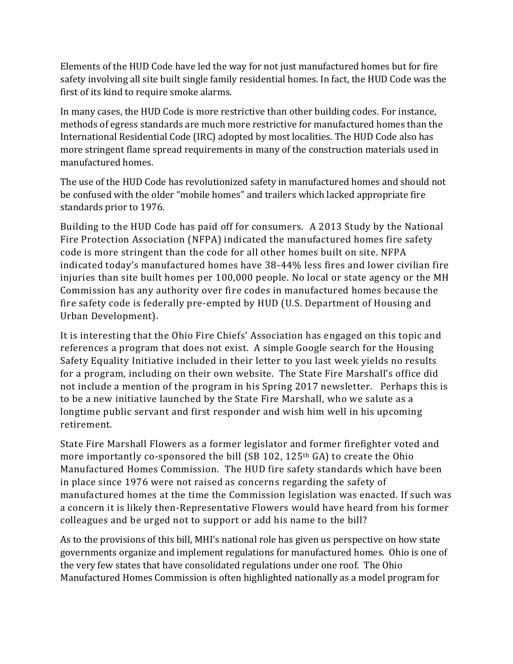Elements of the HUD Code have led the way for not just manufactured homes but for fire safety involving all site built single family residential homes. In fact, the HUD Code was the first of its kind to require smoke alarms.

In many cases, the HUD Code is more restrictive than other building codes. For instance, methods of egress standards are much more restrictive for manufactured homes than the International Residential Code (IRC) adopted by most localities. The HUD Code also has more stringent flame spread requirements in many of the construction materials used in manufactured homes.

The use of the HUD Code has revolutionized safety in manufactured homes and should not be confused with the older "mobile homes" and trailers which lacked appropriate fire standards prior to 1976.

Building to the HUD Code has paid off for consumers. A 2013 Study by the National Fire Protection Association (NFPA) indicated the manufactured homes fire safety code is more stringent than the code for all other homes built on site. NFPA indicated today's manufactured homes have 38-44% less fires and lower civilian fire injuries than site built homes per 100,000 people. No local or state agency or the MH Commission has any authority over fire codes in manufactured homes because the fire safety code is federally pre-empted by HUD (U.S. Department of Housing and Urban Development).

It is interesting that the Ohio Fire Chiefs' Association has engaged on this topic and references a program that does not exist. A simple Google search for the Housing Safety Equality Initiative included in their letter to you last week yields no results for a program, including on their own website. The State Fire Marshall's office did not include a mention of the program in his Spring 2017 newsletter. Perhaps this is to be a new initiative launched by the State Fire Marshall, who we salute as a longtime public servant and first responder and wish him well in his upcoming retirement.

State Fire Marshall Flowers as a former legislator and former firefighter voted and more importantly co-sponsored the bill (SB 102, 125<sup>th</sup> GA) to create the Ohio Manufactured Homes Commission. The HUD fire safety standards which have been in place since 1976 were not raised as concerns regarding the safety of manufactured homes at the time the Commission legislation was enacted. If such was a concern it is likely then-Representative Flowers would have heard from his former colleagues and be urged not to support or add his name to the bill?

As to the provisions of this bill, MHI's national role has given us perspective on how state governments organize and implement regulations for manufactured homes. Ohio is one of the very few states that have consolidated regulations under one roof. The Ohio Manufactured Homes Commission is often highlighted nationally as a model program for